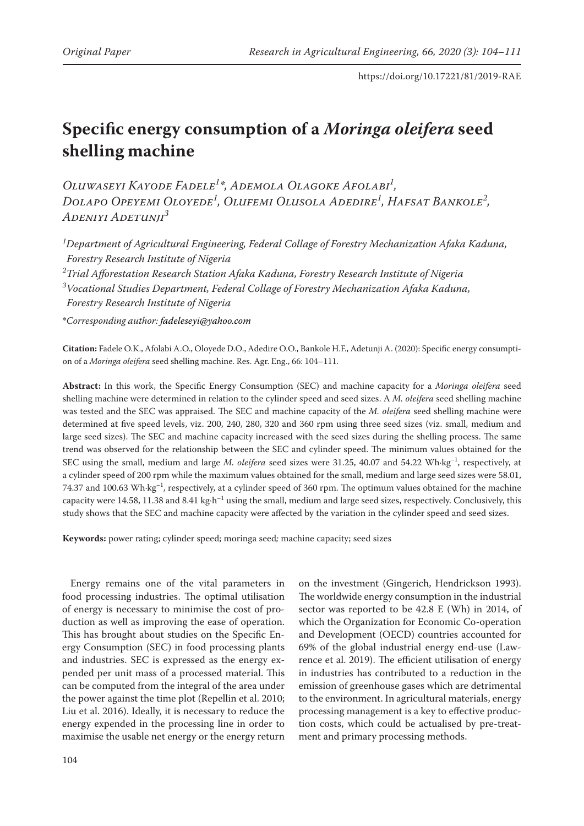# **Specific energy consumption of a** *Moringa oleifera* **seed shelling machine**

*Oluwaseyi Kayode Fadele1 \*, Ademola Olagoke Afolabi1 , Dolapo Opeyemi Oloyede1 , Olufemi Olusola Adedire1 , Hafsat Bankole2 , Adeniyi Adetunji3*

*1 Department of Agricultural Engineering, Federal Collage of Forestry Mechanization Afaka Kaduna, Forestry Research Institute of Nigeria*

*2 Trial Afforestation Research Station Afaka Kaduna, Forestry Research Institute of Nigeria*

*3 Vocational Studies Department, Federal Collage of Forestry Mechanization Afaka Kaduna,*

*Forestry Research Institute of Nigeria*

**\****Corresponding author: fadeleseyi@yahoo.com*

**Citation:** Fadele O.K., Afolabi A.O., Oloyede D.O., Adedire O.O., Bankole H.F., Adetunji A. (2020): Specific energy consumption of a *Moringa oleifera* seed shelling machine. Res. Agr. Eng., 66: 104–111.

**Abstract:** In this work, the Specific Energy Consumption (SEC) and machine capacity for a *Moringa oleifera* seed shelling machine were determined in relation to the cylinder speed and seed sizes. A *M. oleifera* seed shelling machine was tested and the SEC was appraised. The SEC and machine capacity of the *M. oleifera* seed shelling machine were determined at five speed levels, viz. 200, 240, 280, 320 and 360 rpm using three seed sizes (viz. small, medium and large seed sizes). The SEC and machine capacity increased with the seed sizes during the shelling process. The same trend was observed for the relationship between the SEC and cylinder speed. The minimum values obtained for the SEC using the small, medium and large *M. oleifera* seed sizes were 31.25, 40.07 and 54.22 Wh·kg–1, respectively, at a cylinder speed of 200 rpm while the maximum values obtained for the small, medium and large seed sizes were 58.01, 74.37 and 100.63 Wh·kg<sup>-1</sup>, respectively, at a cylinder speed of 360 rpm. The optimum values obtained for the machine capacity were 14.58, 11.38 and 8.41 kg⋅h<sup>-1</sup> using the small, medium and large seed sizes, respectively. Conclusively, this study shows that the SEC and machine capacity were affected by the variation in the cylinder speed and seed sizes.

**Keywords:** power rating; cylinder speed; moringa seed*;* machine capacity; seed sizes

Energy remains one of the vital parameters in food processing industries. The optimal utilisation of energy is necessary to minimise the cost of production as well as improving the ease of operation. This has brought about studies on the Specific Energy Consumption (SEC) in food processing plants and industries. SEC is expressed as the energy expended per unit mass of a processed material. This can be computed from the integral of the area under the power against the time plot (Repellin et al. 2010; Liu et al. 2016). Ideally, it is necessary to reduce the energy expended in the processing line in order to maximise the usable net energy or the energy return

on the investment (Gingerich, Hendrickson 1993). The worldwide energy consumption in the industrial sector was reported to be 42.8 E (Wh) in 2014, of which the Organization for Economic Co-operation and Development (OECD) countries accounted for 69% of the global industrial energy end-use (Lawrence et al. 2019). The efficient utilisation of energy in industries has contributed to a reduction in the emission of greenhouse gases which are detrimental to the environment. In agricultural materials, energy processing management is a key to effective production costs, which could be actualised by pre-treatment and primary processing methods.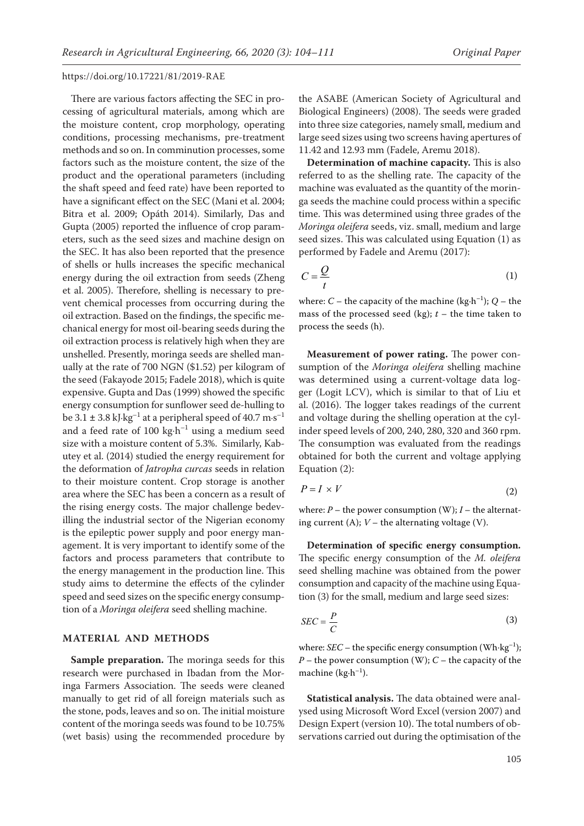There are various factors affecting the SEC in processing of agricultural materials, among which are the moisture content, crop morphology, operating conditions, processing mechanisms, pre-treatment methods and so on. In comminution processes, some factors such as the moisture content, the size of the product and the operational parameters (including the shaft speed and feed rate) have been reported to have a significant effect on the SEC (Mani et al. 2004; Bitra et al. 2009; Opáth 2014). Similarly, Das and Gupta (2005) reported the influence of crop parameters, such as the seed sizes and machine design on the SEC. It has also been reported that the presence of shells or hulls increases the specific mechanical energy during the oil extraction from seeds (Zheng et al. 2005). Therefore, shelling is necessary to prevent chemical processes from occurring during the oil extraction. Based on the findings, the specific mechanical energy for most oil-bearing seeds during the oil extraction process is relatively high when they are unshelled. Presently, moringa seeds are shelled manually at the rate of 700 NGN (\$1.52) per kilogram of the seed (Fakayode 2015; Fadele 2018), which is quite expensive. Gupta and Das (1999) showed the specific energy consumption for sunflower seed de-hulling to be 3.1  $\pm$  3.8 kJ·kg<sup>-1</sup> at a peripheral speed of 40.7  $\rm m\cdot s^{-1}$ and a feed rate of 100 kg⋅h<sup>-1</sup> using a medium seed size with a moisture content of 5.3%. Similarly, Kabutey et al. (2014) studied the energy requirement for the deformation of *Jatropha curcas* seeds in relation to their moisture content. Crop storage is another area where the SEC has been a concern as a result of the rising energy costs. The major challenge bedevilling the industrial sector of the Nigerian economy is the epileptic power supply and poor energy management. It is very important to identify some of the factors and process parameters that contribute to the energy management in the production line. This study aims to determine the effects of the cylinder speed and seed sizes on the specific energy consumption of a *Moringa oleifera* seed shelling machine.

### **MATERIAL AND METHODS**

**Sample preparation.** The moringa seeds for this research were purchased in Ibadan from the Moringa Farmers Association. The seeds were cleaned manually to get rid of all foreign materials such as the stone, pods, leaves and so on. The initial moisture content of the moringa seeds was found to be 10.75% (wet basis) using the recommended procedure by

the ASABE (American Society of Agricultural and Biological Engineers) (2008). The seeds were graded into three size categories, namely small, medium and large seed sizes using two screens having apertures of 11.42 and 12.93 mm (Fadele, Aremu 2018).

**Determination of machine capacity.** This is also referred to as the shelling rate. The capacity of the machine was evaluated as the quantity of the moringa seeds the machine could process within a specific time. This was determined using three grades of the *Moringa oleifera* seeds, viz. small, medium and large seed sizes. This was calculated using Equation (1) as performed by Fadele and Aremu (2017):

$$
C = \frac{Q}{t} \tag{1}
$$

where: *C* – the capacity of the machine (kg $\cdot$ h<sup>-1</sup>); *Q* – the mass of the processed seed (kg);  $t$  – the time taken to process the seeds (h).

**Measurement of power rating.** The power consumption of the *Moringa oleifera* shelling machine was determined using a current-voltage data logger (Logit LCV), which is similar to that of Liu et al. (2016). The logger takes readings of the current and voltage during the shelling operation at the cylinder speed levels of 200, 240, 280, 320 and 360 rpm. The consumption was evaluated from the readings obtained for both the current and voltage applying Equation (2):

$$
P = I \times V \tag{2}
$$

where:  $P$  – the power consumption (W);  $I$  – the alternating current (A);  $V$  – the alternating voltage (V).

**Determination of specific energy consumption.**  The specific energy consumption of the *M. oleifera* seed shelling machine was obtained from the power consumption and capacity of the machine using Equation (3) for the small, medium and large seed sizes:

$$
SEC = \frac{P}{C}
$$
 (3)

where: *SEC* – the specific energy consumption (Wh⋅kg<sup>-1</sup>); *P* – the power consumption (W); *C* – the capacity of the machine  $(kg \cdot h^{-1})$ .

**Statistical analysis.** The data obtained were analysed using Microsoft Word Excel (version 2007) and Design Expert (version 10). The total numbers of observations carried out during the optimisation of the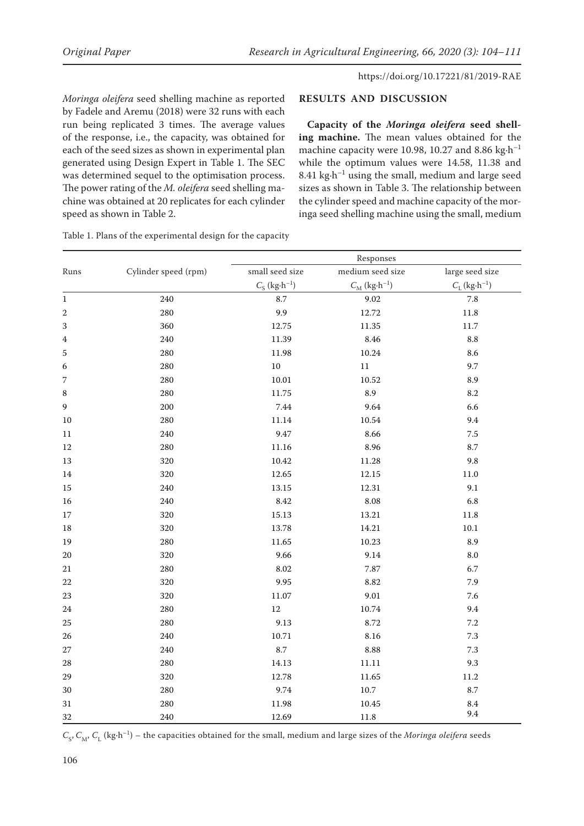*Moringa oleifera* seed shelling machine as reported by Fadele and Aremu (2018) were 32 runs with each run being replicated 3 times. The average values of the response, i.e., the capacity, was obtained for each of the seed sizes as shown in experimental plan generated using Design Expert in Table 1. The SEC was determined sequel to the optimisation process. The power rating of the *M. oleifera* seed shelling machine was obtained at 20 replicates for each cylinder speed as shown in Table 2.

# **RESULTS AND DISCUSSION**

**Capacity of the** *Moringa oleifera* **seed shelling machine.** The mean values obtained for the machine capacity were 10.98, 10.27 and 8.86 kg $\cdot$ h<sup>-1</sup> while the optimum values were 14.58, 11.38 and 8.41  $kg \cdot h^{-1}$  using the small, medium and large seed sizes as shown in Table 3. The relationship between the cylinder speed and machine capacity of the moringa seed shelling machine using the small, medium

|                  |                      | Responses                         |                                   |                                   |  |  |
|------------------|----------------------|-----------------------------------|-----------------------------------|-----------------------------------|--|--|
| Runs             | Cylinder speed (rpm) | small seed size                   | medium seed size                  | large seed size                   |  |  |
|                  |                      | $C_{\rm S}$ (kg·h <sup>-1</sup> ) | $C_{\rm M}$ (kg·h <sup>-1</sup> ) | $C_{\rm L}$ (kg·h <sup>-1</sup> ) |  |  |
| $\,1$            | 240                  | $8.7\,$                           | 9.02                              | $7.8\,$                           |  |  |
| $\boldsymbol{2}$ | 280                  | 9.9                               | 12.72                             | 11.8                              |  |  |
| 3                | 360                  | 12.75                             | 11.35                             | 11.7                              |  |  |
| 4                | 240                  | 11.39                             | 8.46                              | 8.8                               |  |  |
| 5                | 280                  | 11.98                             | 10.24                             | 8.6                               |  |  |
| 6                | 280                  | $10\,$                            | $11\,$                            | 9.7                               |  |  |
| 7                | 280                  | $10.01\,$                         | $10.52\,$                         | 8.9                               |  |  |
| $\,$ 8 $\,$      | 280                  | 11.75                             | 8.9                               | $8.2\,$                           |  |  |
| 9                | 200                  | 7.44                              | 9.64                              | 6.6                               |  |  |
| 10               | 280                  | $11.14\,$                         | 10.54                             | 9.4                               |  |  |
| $11\,$           | 240                  | 9.47                              | 8.66                              | $7.5\,$                           |  |  |
| 12               | 280                  | 11.16                             | 8.96                              | 8.7                               |  |  |
| 13               | 320                  | 10.42                             | 11.28                             | 9.8                               |  |  |
| 14               | 320                  | 12.65                             | 12.15                             | $11.0\,$                          |  |  |
| 15               | 240                  | 13.15                             | 12.31                             | 9.1                               |  |  |
| 16               | 240                  | 8.42                              | 8.08                              | 6.8                               |  |  |
| $17\,$           | 320                  | 15.13                             | 13.21                             | $11.8\,$                          |  |  |
| $18\,$           | 320                  | 13.78                             | 14.21                             | $10.1\,$                          |  |  |
| 19               | 280                  | 11.65                             | 10.23                             | 8.9                               |  |  |
| $20\,$           | 320                  | 9.66                              | 9.14                              | $8.0\,$                           |  |  |
| $21\,$           | 280                  | 8.02                              | 7.87                              | 6.7                               |  |  |
| 22               | 320                  | 9.95                              | 8.82                              | 7.9                               |  |  |
| 23               | 320                  | 11.07                             | $9.01\,$                          | $7.6\,$                           |  |  |
| $24\,$           | 280                  | $12\,$                            | 10.74                             | 9.4                               |  |  |
| 25               | 280                  | 9.13                              | 8.72                              | $7.2\,$                           |  |  |
| 26               | 240                  | 10.71                             | 8.16                              | $7.3\,$                           |  |  |
| $27\,$           | 240                  | $8.7\,$                           | 8.88                              | $7.3\,$                           |  |  |
| 28               | 280                  | 14.13                             | $11.11\,$                         | 9.3                               |  |  |
| 29               | 320                  | 12.78                             | 11.65                             | 11.2                              |  |  |
| 30               | 280                  | 9.74                              | 10.7                              | 8.7                               |  |  |
| $31\,$           | 280                  | 11.98                             | 10.45                             | 8.4                               |  |  |
| 32               | 240                  | 12.69                             | 11.8                              | 9.4                               |  |  |

Table 1. Plans of the experimental design for the capacity

 $C_S$ ,  $C_M$ ,  $C_L$  (kg·h<sup>-1</sup>) – the capacities obtained for the small, medium and large sizes of the *Moringa oleifera* seeds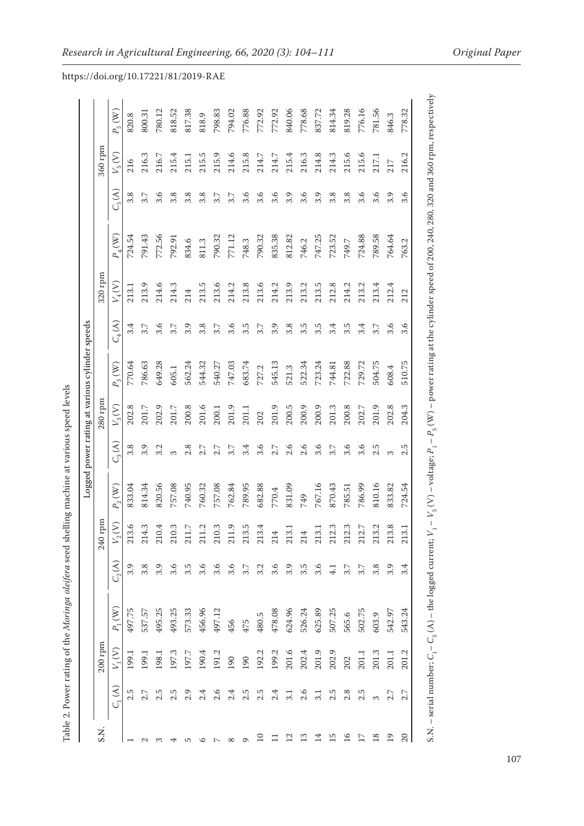| てんしょく こっしょう                                                           |
|-----------------------------------------------------------------------|
|                                                                       |
| l                                                                     |
| i<br>I                                                                |
|                                                                       |
|                                                                       |
| $\frac{1}{2}$                                                         |
|                                                                       |
|                                                                       |
|                                                                       |
| i<br>i                                                                |
|                                                                       |
|                                                                       |
|                                                                       |
|                                                                       |
|                                                                       |
|                                                                       |
|                                                                       |
| )                                                                     |
|                                                                       |
|                                                                       |
|                                                                       |
|                                                                       |
|                                                                       |
|                                                                       |
|                                                                       |
|                                                                       |
|                                                                       |
|                                                                       |
|                                                                       |
|                                                                       |
|                                                                       |
| .<br>ا                                                                |
|                                                                       |
| ١                                                                     |
|                                                                       |
|                                                                       |
|                                                                       |
|                                                                       |
|                                                                       |
|                                                                       |
|                                                                       |
|                                                                       |
| ì                                                                     |
|                                                                       |
| <b>Contractor</b>                                                     |
|                                                                       |
|                                                                       |
| ֧֖֖֚֚֚֝֟֘֝֬֝֬֝<br>֧֖֖֖֖֖֚֚֚֚֚֚֚֚֚֚֚֝<br>֧֖֖֖֖֖֖֚֚֚֚֚֚֚֚֚֚֚֚֚֚֝֩֩<br>ĺ |
|                                                                       |
|                                                                       |
|                                                                       |
| I                                                                     |
|                                                                       |
| $\overline{\phantom{a}}$                                              |
| -------<br>¢<br>١                                                     |
| ł                                                                     |
|                                                                       |
| Ē                                                                     |
|                                                                       |

| $P_1\left(\mathbb{W}\right)$<br>495.25<br>493.25<br>497.75<br>573.33<br>478.08<br>624.96<br>456.96<br>537.57<br>497.12<br>526.24<br>625.89<br>507.25<br>480.5<br>565.6<br>456<br>475<br>$200$ rpm<br>$V_1(V)$<br>201.6<br>197.3<br>192.2<br>199.2<br>197.7<br>191.2<br>202.4<br>201.9<br>202.9<br>190.4<br>199.1<br>198.1<br>199.1<br>190<br>190<br>202<br>$C_1(A)$<br>2.5<br>$2.5\,$<br>2.5<br>2.5<br>$2.\overline{3}$<br>2.5<br>2.7<br>2.9<br>2.4<br>2.6<br>2.4<br>2.6<br>2.5<br>$2.8\,$<br>3.1<br>Σ.<br>$\overline{10}$<br>$\overline{15}$<br>$\overline{a}$<br>$\mathbf{z}$<br>≌<br>口<br>$\sigma$ | 240 rpm<br>$\circ$<br>S<br>4<br>S<br>$\mathbf{\sim}$<br>S<br>Q<br>Ņ<br>210.<br>211.<br>214.<br>211.<br>213.<br>210.<br>210.<br>$\sum_{2}$<br>211<br>$C_p(A)$<br>3.8<br>3.9<br>3.6<br>3.5<br>3.6<br>3.9<br>3.6<br>3.6 | 820.56<br>757.08<br>740.95<br>757.08<br>833.04<br>814.34<br>760.32<br>762.84<br>$P_2\left( \mathbf{W}\right)$<br>$\overline{S}$ | $C_3(\mathcal{A})$<br>3.8<br>3.9 | 280 rpm<br>$V_3(V)$ |                              | $C_4(A)$ | 320 rpm<br>$V_4(V)$ |                                         |                    | 360 rpm    |                              |
|-------------------------------------------------------------------------------------------------------------------------------------------------------------------------------------------------------------------------------------------------------------------------------------------------------------------------------------------------------------------------------------------------------------------------------------------------------------------------------------------------------------------------------------------------------------------------------------------------------|----------------------------------------------------------------------------------------------------------------------------------------------------------------------------------------------------------------------|---------------------------------------------------------------------------------------------------------------------------------|----------------------------------|---------------------|------------------------------|----------|---------------------|-----------------------------------------|--------------------|------------|------------------------------|
|                                                                                                                                                                                                                                                                                                                                                                                                                                                                                                                                                                                                       |                                                                                                                                                                                                                      |                                                                                                                                 |                                  |                     |                              |          |                     |                                         |                    |            |                              |
|                                                                                                                                                                                                                                                                                                                                                                                                                                                                                                                                                                                                       |                                                                                                                                                                                                                      |                                                                                                                                 |                                  |                     | $P_3\left(\mathbf{W}\right)$ |          |                     | $P_4^{\vphantom{\dagger}}(\mathcal{W})$ | $C_5(\mathcal{A})$ | $V_{5}(V)$ | $P_5\left(\mathbb{W}\right)$ |
|                                                                                                                                                                                                                                                                                                                                                                                                                                                                                                                                                                                                       |                                                                                                                                                                                                                      |                                                                                                                                 |                                  | 202.8               | 770.64                       | 3.4      | 213.1               | 724.54                                  | 3.8                | 216        | 820.8                        |
|                                                                                                                                                                                                                                                                                                                                                                                                                                                                                                                                                                                                       |                                                                                                                                                                                                                      |                                                                                                                                 |                                  | $201.7$             | 786.63                       | 3.7      | 213.9               | 791.43                                  | 3.7                | 216.3      | 800.31                       |
|                                                                                                                                                                                                                                                                                                                                                                                                                                                                                                                                                                                                       |                                                                                                                                                                                                                      |                                                                                                                                 |                                  | 202.9               | 649.28                       | 3.6      | 214.6               | 772.56                                  | 3.6                | 216.7      | 780.12                       |
|                                                                                                                                                                                                                                                                                                                                                                                                                                                                                                                                                                                                       |                                                                                                                                                                                                                      |                                                                                                                                 |                                  | 201.7               | 605.1                        | 3.7      | 214.3               | 792.91                                  | 3.8                | 215.4      | 818.52                       |
|                                                                                                                                                                                                                                                                                                                                                                                                                                                                                                                                                                                                       |                                                                                                                                                                                                                      |                                                                                                                                 | 2.8                              | 200.8               | 562.24                       | 3.9      | 214                 | 834.6                                   | 3.8                | 215.1      | 817.38                       |
|                                                                                                                                                                                                                                                                                                                                                                                                                                                                                                                                                                                                       |                                                                                                                                                                                                                      |                                                                                                                                 | 2.7                              | 201.6               | 544.32                       | 3.8      | 213.5               | 811.3                                   | 3.8                | 215.5      | 818.9                        |
|                                                                                                                                                                                                                                                                                                                                                                                                                                                                                                                                                                                                       |                                                                                                                                                                                                                      |                                                                                                                                 | 2.7                              | 200.1               | 540.27                       | 3.7      | 213.6               | 790.32                                  | 3.7                | 215.9      | 798.83                       |
|                                                                                                                                                                                                                                                                                                                                                                                                                                                                                                                                                                                                       |                                                                                                                                                                                                                      |                                                                                                                                 | 3.7                              | 201.9               | 747.03                       | 3.6      | 214.2               | 771.12                                  | 3.7                | 214.6      | 794.02                       |
|                                                                                                                                                                                                                                                                                                                                                                                                                                                                                                                                                                                                       | m<br>213.<br>$3.7\,$                                                                                                                                                                                                 | 789.95                                                                                                                          | 3.4                              | 201.1               | 683.74                       | 3.5      | 213.8               | 748.3                                   | 3.6                | 215.8      | 776.88                       |
|                                                                                                                                                                                                                                                                                                                                                                                                                                                                                                                                                                                                       | 4<br>213.                                                                                                                                                                                                            | 682.88                                                                                                                          | 3.6                              | 202                 | 727.2                        | 3.7      | 213.6               | 790.32                                  | 3.6                | 214.7      | 772.92                       |
|                                                                                                                                                                                                                                                                                                                                                                                                                                                                                                                                                                                                       | 214<br>$3.\overline{3}$<br>$3.\overline{6}$                                                                                                                                                                          | 770.4                                                                                                                           | 2.7                              | 201.9               | 545.13                       | 3.9      | 214.2               | 835.38                                  | 3.6                | 214.7      | 772.92                       |
|                                                                                                                                                                                                                                                                                                                                                                                                                                                                                                                                                                                                       | ⊣<br>213.<br>3.9                                                                                                                                                                                                     | 831.09                                                                                                                          | 2.6                              | $200.5$             | 521.3                        | 3.8      | 213.9               | 812.82                                  | 3.9                | 215.4      | 840.06                       |
|                                                                                                                                                                                                                                                                                                                                                                                                                                                                                                                                                                                                       | 214<br>3.5                                                                                                                                                                                                           | 749                                                                                                                             | 2.6                              | 200.9               | 522.34                       | 3.5      | 213.2               | 746.2                                   | 3.6                | 216.3      | 778.68                       |
|                                                                                                                                                                                                                                                                                                                                                                                                                                                                                                                                                                                                       | 213.<br>3.6                                                                                                                                                                                                          | 767.16                                                                                                                          | 3.6                              | 200.9               | 723.24                       | 3.5      | 213.5               | 747.25                                  | 3.9                | 214.8      | 837.72                       |
|                                                                                                                                                                                                                                                                                                                                                                                                                                                                                                                                                                                                       | S<br>212.<br>$\frac{1}{4}$                                                                                                                                                                                           | 870.43                                                                                                                          | 3.7                              | 201.3               | 744.81                       | 3.4      | 212.8               | 723.52                                  | 3.8                | 214.3      | 814.34                       |
|                                                                                                                                                                                                                                                                                                                                                                                                                                                                                                                                                                                                       | S<br>212.<br>3.7                                                                                                                                                                                                     | 785.51                                                                                                                          | 3.6                              | 200.8               | 722.88                       | 3.5      | 214.2               | 749.7                                   | 3.8                | 215.6      | 819.28                       |
| 502.75<br>201.1<br>2.5<br>$\overline{17}$                                                                                                                                                                                                                                                                                                                                                                                                                                                                                                                                                             | Ņ<br>212.<br>3.7                                                                                                                                                                                                     | 786.99                                                                                                                          | 3.6                              | 202.7               | 729.72                       | 3.4      | 213.2               | 724.88                                  | 3.6                | 215.6      | 776.16                       |
| 603.9<br>201.3<br>$\frac{8}{18}$                                                                                                                                                                                                                                                                                                                                                                                                                                                                                                                                                                      | $\mathbf{\mathcal{C}}$<br>213<br>3.8                                                                                                                                                                                 | 810.16                                                                                                                          | 2.5                              | 201.9               | 504.75                       | 3.7      | 213.4               | 789.58                                  | 3.6                | 217.1      | 781.56                       |
| 542.97<br>201.1<br>$\overline{0}$                                                                                                                                                                                                                                                                                                                                                                                                                                                                                                                                                                     | $^{\circ}$<br>213.                                                                                                                                                                                                   | 833.82                                                                                                                          |                                  | 202.8               | 608.4                        | 3.6      | 212.4               | 764.64                                  | 3.9                | 217        | 846.3                        |
| 543.24<br>201.2<br>2.7<br>$\Omega$                                                                                                                                                                                                                                                                                                                                                                                                                                                                                                                                                                    | $\overline{\phantom{0}}$<br>213<br>3.4                                                                                                                                                                               | 724.54                                                                                                                          | 2.5                              | 204.3               | 510.75                       | 3.6      | 212                 | 763.2                                   | 3.6                | 216.2      | 778.32                       |

S.N. – serial number;  $C_1$ –  $C_5(A)$  – the logged current;  $V_1 - V_5(V)$  – voltage;  $P_1 - P_5(W)$  – power rating at the cylinder speed of 200, 240, 280, 320 and 360 rpm, respectively S.N. – serial number; *C*1– *C*5 (A) – the logged current; *V*1 – *V*5 (V) – voltage; *P*1 – *P*5 (W) – power rating at the cylinder speed of 200, 240, 280, 320 and 360 rpm, respectively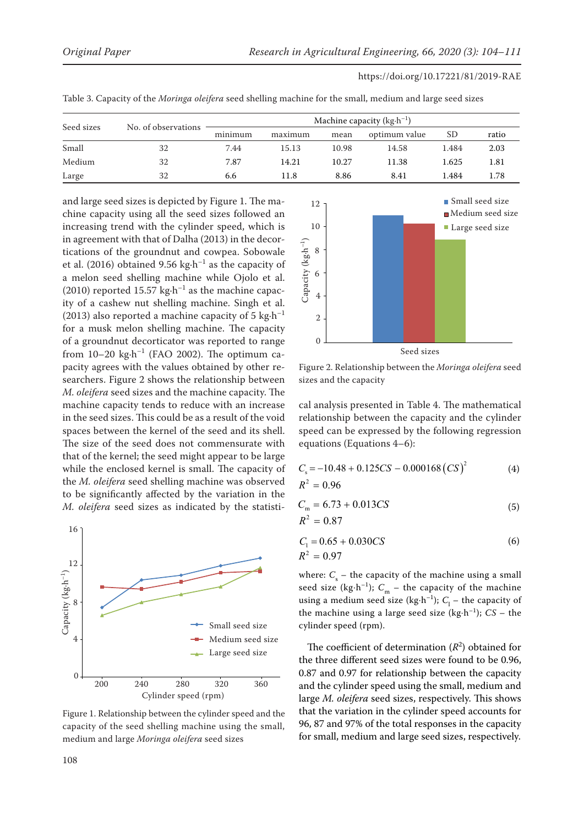|            |                     |         |         |       | Machine capacity ( $kg \cdot h^{-1}$ ) |       |       |
|------------|---------------------|---------|---------|-------|----------------------------------------|-------|-------|
| Seed sizes | No. of observations | minimum | maximum | mean  | optimum value                          | SD    | ratio |
| Small      | 32                  | 7.44    | 15.13   | 10.98 | 14.58                                  | 1.484 | 2.03  |
| Medium     | 32                  | 7.87    | 14.21   | 10.27 | 11.38                                  | 1.625 | 1.81  |
| Large      | 32                  | 6.6     | 11.8    | 8.86  | 8.41                                   | 1.484 | 1.78  |

Table 3. Capacity of the *Moringa oleifera* seed shelling machine for the small, medium and large seed sizes

and large seed sizes is depicted by Figure 1. The machine capacity using all the seed sizes followed an increasing trend with the cylinder speed, which is in agreement with that of Dalha (2013) in the decortications of the groundnut and cowpea. Sobowale et al. (2016) obtained 9.56 kg $\cdot$ h<sup>-1</sup> as the capacity of a melon seed shelling machine while Ojolo et al. (2010) reported 15.57 kg $\cdot$ h<sup>-1</sup> as the machine capacity of a cashew nut shelling machine. Singh et al. (2013) also reported a machine capacity of 5 kg $\cdot$ h<sup>-1</sup> for a musk melon shelling machine. The capacity of a groundnut decorticator was reported to range from  $10-20$  kg $\cdot$ h<sup>-1</sup> (FAO 2002). The optimum capacity agrees with the values obtained by other researchers. Figure 2 shows the relationship between *M. oleifera* seed sizes and the machine capacity. The machine capacity tends to reduce with an increase in the seed sizes. This could be as a result of the void spaces between the kernel of the seed and its shell. The size of the seed does not commensurate with that of the kernel; the seed might appear to be large while the enclosed kernel is small. The capacity of the *M. oleifera* seed shelling machine was observed to be significantly affected by the variation in the *M. oleifera* seed sizes as indicated by the statisti-



capacity of the seed shelling machine using the small,  $\rightarrow$  90, 8 large *Moringa oleifera* seed sizes medium and large *Moringa oleifera* seed sizes Figure 1. Relationship between the cylinder speed and the



Figure 2. Relationship between the *Moringa oleifera* seed sizes and the capacity Figure 2. Relationship between the *Moringa oleifera* seed sizes and the capacity

cal analysis presented in Table 4. The mathematical relationship between the capacity and the cylinder speed can be expressed by the following regression equations (Equations 4–6):

$$
C_s = -10.48 + 0.125CS - 0.000168 (CS)^2
$$
\n
$$
R^2 = 0.96
$$
\n(4)

$$
C_{\rm m} = 6.73 + 0.013CS
$$
  

$$
R^2 = 0.87
$$
 (5)

$$
C_1 = 0.65 + 0.030CS
$$
  

$$
R^2 = 0.97
$$
 (6)

where:  $C_{\rm s}$  – the capacity of the machine using a small seed size (kg⋅h<sup>-1</sup>);  $C_m$  – the capacity of the machine using a medium seed size (kg⋅h<sup>-1</sup>);  $C_1$  – the capacity of the machine using a large seed size (kg⋅h<sup>-1</sup>);  $CS$  – the cylinder speed (rpm).

The coefficient of determination  $(R^2)$  obtained for the three different seed sizes were found to be 0.96, 0.87 and 0.97 for relationship between the capacity and the cylinder speed using the small, medium and large *M. oleifera* seed sizes, respectively. This shows 13 that the variation in the cylinder speed accounts for 96, 87 and 97% of the total responses in the capacity for small, medium and large seed sizes, respectively.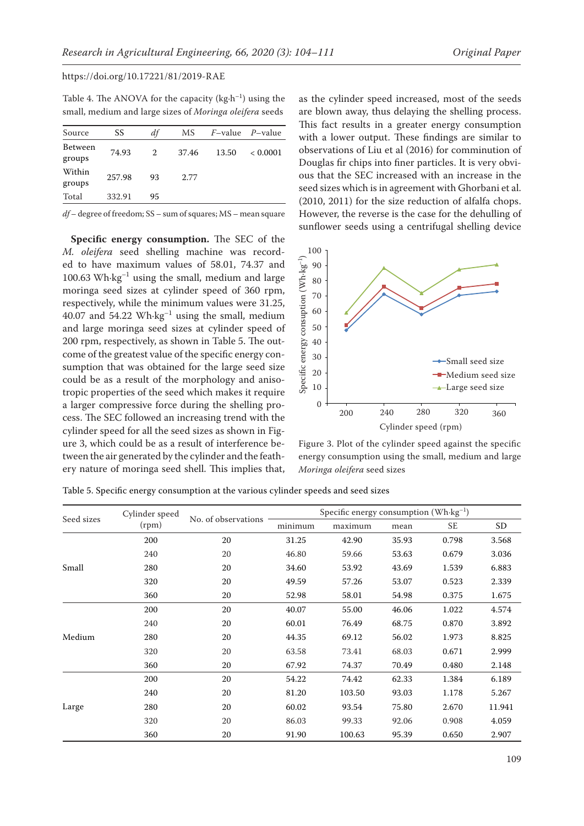Table 4. The ANOVA for the capacity  $(kg \cdot h^{-1})$  using the small, medium and large sizes of *Moringa oleifera* seeds

| Source            | SS     | df | МS    |       | $F$ -value $P$ -value |
|-------------------|--------|----|-------|-------|-----------------------|
| Between<br>groups | 74.93  | 2  | 37.46 | 13.50 | < 0.0001              |
| Within<br>groups  | 257.98 | 93 | 2.77  |       |                       |
| Total             | 332.91 | 95 |       |       |                       |
|                   |        |    |       |       |                       |

*df* – degree of freedom; SS – sum of squares; MS – mean square

**Specific energy consumption.** The SEC of the *M. oleifera* seed shelling machine was recorded to have maximum values of 58.01, 74.37 and 100.63 Wh $\cdot$ kg<sup>-1</sup> using the small, medium and large moringa seed sizes at cylinder speed of 360 rpm, respectively, while the minimum values were 31.25, 40.07 and 54.22  $Wh·kg<sup>-1</sup>$  using the small, medium and large moringa seed sizes at cylinder speed of 200 rpm, respectively, as shown in Table 5. The outcome of the greatest value of the specific energy consumption that was obtained for the large seed size could be as a result of the morphology and anisotropic properties of the seed which makes it require a larger compressive force during the shelling process. The SEC followed an increasing trend with the cylinder speed for all the seed sizes as shown in Figure 3, which could be as a result of interference between the air generated by the cylinder and the feathery nature of moringa seed shell. This implies that,

as the cylinder speed increased, most of the seeds are blown away, thus delaying the shelling process. This fact results in a greater energy consumption with a lower output. These findings are similar to observations of Liu et al (2016) for comminution of Douglas fir chips into finer particles. It is very obvious that the SEC increased with an increase in the seed sizes which is in agreement with Ghorbani et al. (2010, 2011) for the size reduction of alfalfa chops. However, the reverse is the case for the dehulling of sunflower seeds using a centrifugal shelling device



Figure 3. Plot of the cylinder speed against the specific energy consumption using the small, medium and large *Moringa oleifera* seed sizes

| Seed sizes | Cylinder speed | No. of observations | Specific energy consumption $(\text{Wh·kg}^{-1})$ |                                                                                                                                                                                                                                                                                                                                                                                                                  |       |       |        |
|------------|----------------|---------------------|---------------------------------------------------|------------------------------------------------------------------------------------------------------------------------------------------------------------------------------------------------------------------------------------------------------------------------------------------------------------------------------------------------------------------------------------------------------------------|-------|-------|--------|
|            | (rpm)          |                     | minimum                                           | maximum<br>SE<br>mean<br>0.798<br>42.90<br>35.93<br>59.66<br>53.63<br>0.679<br>1.539<br>53.92<br>43.69<br>57.26<br>53.07<br>0.523<br>58.01<br>0.375<br>54.98<br>55.00<br>46.06<br>1.022<br>76.49<br>68.75<br>0.870<br>69.12<br>56.02<br>1.973<br>73.41<br>68.03<br>0.671<br>74.37<br>70.49<br>0.480<br>74.42<br>62.33<br>1.384<br>103.50<br>93.03<br>1.178<br>93.54<br>75.80<br>2.670<br>92.06<br>99.33<br>0.908 |       | SD    |        |
|            | 200            | 20                  | 31.25                                             |                                                                                                                                                                                                                                                                                                                                                                                                                  |       |       | 3.568  |
|            | 240            | 20                  | 46.80                                             |                                                                                                                                                                                                                                                                                                                                                                                                                  |       |       | 3.036  |
| Small      | 280            | 20                  | 34.60                                             |                                                                                                                                                                                                                                                                                                                                                                                                                  |       |       | 6.883  |
|            | 320            | 20                  | 49.59                                             |                                                                                                                                                                                                                                                                                                                                                                                                                  |       |       | 2.339  |
|            | 360            | 20                  | 52.98                                             |                                                                                                                                                                                                                                                                                                                                                                                                                  |       |       | 1.675  |
|            | 200            | 20                  | 40.07                                             |                                                                                                                                                                                                                                                                                                                                                                                                                  |       |       | 4.574  |
|            | 240            | 20                  | 60.01                                             |                                                                                                                                                                                                                                                                                                                                                                                                                  |       |       | 3.892  |
| Medium     | 280            | 20                  | 44.35                                             |                                                                                                                                                                                                                                                                                                                                                                                                                  |       |       | 8.825  |
|            | 320            | 20                  | 63.58                                             |                                                                                                                                                                                                                                                                                                                                                                                                                  |       |       | 2.999  |
|            | 360            | 20                  | 67.92                                             |                                                                                                                                                                                                                                                                                                                                                                                                                  |       |       | 2.148  |
|            | 200            | 20                  | 54.22                                             |                                                                                                                                                                                                                                                                                                                                                                                                                  |       |       | 6.189  |
|            | 240            | 20                  | 81.20                                             |                                                                                                                                                                                                                                                                                                                                                                                                                  |       |       | 5.267  |
| Large      | 280            | 20                  | 60.02                                             |                                                                                                                                                                                                                                                                                                                                                                                                                  |       |       | 11.941 |
|            | 320            | 20                  | 86.03                                             |                                                                                                                                                                                                                                                                                                                                                                                                                  |       |       | 4.059  |
|            | 360            | 20                  | 91.90                                             | 100.63                                                                                                                                                                                                                                                                                                                                                                                                           | 95.39 | 0.650 | 2.907  |

Table 5. Specific energy consumption at the various cylinder speeds and seed sizes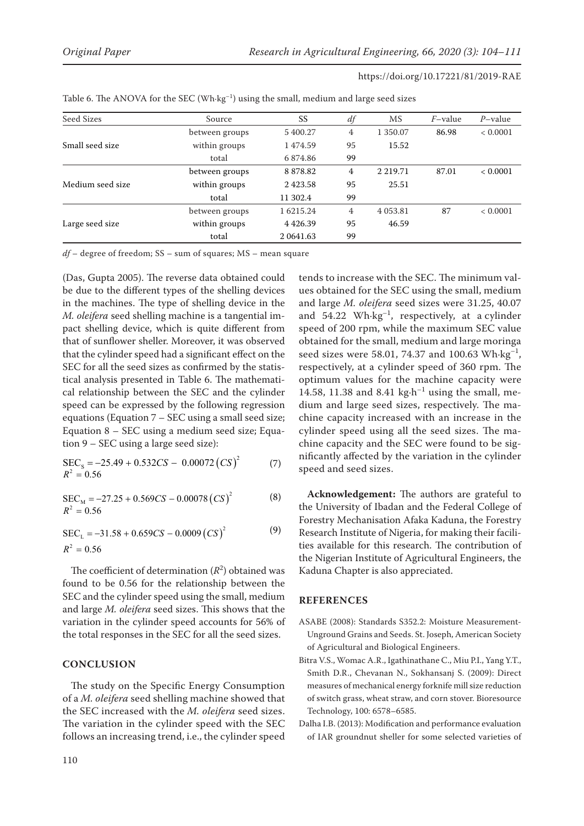| Seed Sizes       | Source         | SS              | df             | <b>MS</b>     | $F$ -value | $P$ -value |
|------------------|----------------|-----------------|----------------|---------------|------------|------------|
|                  | between groups | 5 400.27        | 4              | 1 350.07      | 86.98      | < 0.0001   |
| Small seed size  | within groups  | 1474.59         | 95             | 15.52         |            |            |
|                  | total          | 6874.86         | 99             |               |            |            |
|                  | between groups | 8 878.82        | 4              | 2 2 1 9 . 7 1 | 87.01      | < 0.0001   |
| Medium seed size | within groups  | 2423.58         | 95             | 25.51         |            |            |
|                  | total          | 11 302.4        | 99             |               |            |            |
|                  | between groups | 1 6215.24       | $\overline{4}$ | 4 0 5 3 . 8 1 | 87         | < 0.0001   |
| Large seed size  | within groups  | 4426.39         | 95             | 46.59         |            |            |
|                  | total          | 2 0 6 4 1 . 6 3 | 99             |               |            |            |

Table 6. The ANOVA for the SEC (Wh $\cdot$ kg<sup>-1</sup>) using the small, medium and large seed sizes

*df* – degree of freedom; SS – sum of squares; MS – mean square

(Das, Gupta 2005). The reverse data obtained could be due to the different types of the shelling devices in the machines. The type of shelling device in the *M. oleifera* seed shelling machine is a tangential impact shelling device, which is quite different from that of sunflower sheller. Moreover, it was observed that the cylinder speed had a significant effect on the SEC for all the seed sizes as confirmed by the statistical analysis presented in Table 6. The mathematical relationship between the SEC and the cylinder speed can be expressed by the following regression equations (Equation 7 – SEC using a small seed size; Equation 8 – SEC using a medium seed size; Equation 9 – SEC using a large seed size):

$$
SECS = -25.49 + 0.532CS - 0.00072 (CS)2 (7)
$$
  

$$
R2 = 0.56
$$

(8)  $\text{SEC}_{\text{M}} = -27.25 + 0.569CS - 0.00078 (CS)^2$  $R^2 = 0.56$ 

$$
SECL = -31.58 + 0.659CS - 0.0009 (CS)2
$$
 (9)  

$$
R2 = 0.56
$$

The coefficient of determination  $(R^2)$  obtained was found to be 0.56 for the relationship between the SEC and the cylinder speed using the small, medium and large *M. oleifera* seed sizes. This shows that the variation in the cylinder speed accounts for 56% of the total responses in the SEC for all the seed sizes.

# **CONCLUSION**

The study on the Specific Energy Consumption of a *M. oleifera* seed shelling machine showed that the SEC increased with the *M. oleifera* seed sizes. The variation in the cylinder speed with the SEC follows an increasing trend, i.e., the cylinder speed tends to increase with the SEC. The minimum values obtained for the SEC using the small, medium and large *M. oleifera* seed sizes were 31.25, 40.07 and  $54.22$  Wh $\cdot$ kg<sup>-1</sup>, respectively, at a cylinder speed of 200 rpm, while the maximum SEC value obtained for the small, medium and large moringa seed sizes were 58.01, 74.37 and 100.63 Wh $\cdot$ kg<sup>-1</sup>, respectively, at a cylinder speed of 360 rpm. The optimum values for the machine capacity were 14.58, 11.38 and 8.41 kg $\cdot$ h<sup>-1</sup> using the small, medium and large seed sizes, respectively. The machine capacity increased with an increase in the cylinder speed using all the seed sizes. The machine capacity and the SEC were found to be significantly affected by the variation in the cylinder speed and seed sizes.

**Acknowledgement:** The authors are grateful to the University of Ibadan and the Federal College of Forestry Mechanisation Afaka Kaduna, the Forestry Research Institute of Nigeria, for making their facilities available for this research. The contribution of the Nigerian Institute of Agricultural Engineers, the Kaduna Chapter is also appreciated.

#### **REFERENCES**

- ASABE (2008): Standards S352.2: Moisture Measurement-Unground Grains and Seeds. St. Joseph, American Society of Agricultural and Biological Engineers.
- Bitra V.S., Womac A.R., Igathinathane C., Miu P.I., Yang Y.T., Smith D.R., Chevanan N., Sokhansanj S. (2009): Direct measures of mechanical energy forknife mill size reduction of switch grass, wheat straw, and corn stover. Bioresource Technology, 100: 6578–6585.
- Dalha I.B. (2013): Modification and performance evaluation of IAR groundnut sheller for some selected varieties of